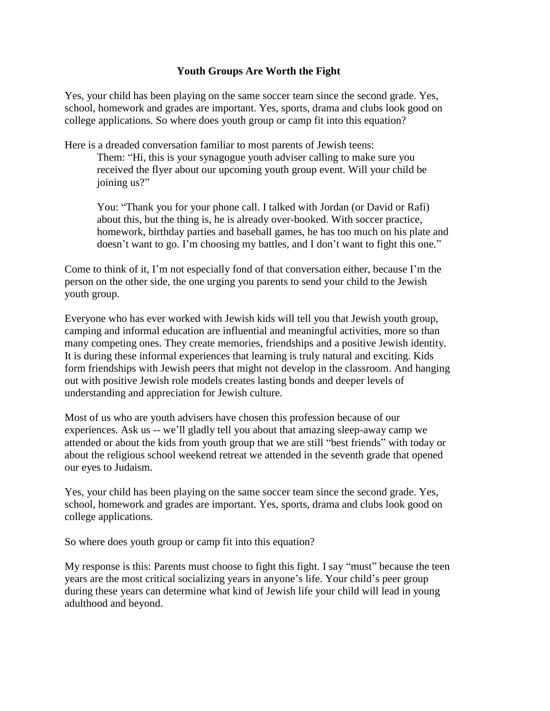## **Youth Groups Are Worth the Fight**

Yes, your child has been playing on the same soccer team since the second grade. Yes, school, homework and grades are important. Yes, sports, drama and clubs look good on college applications. So where does youth group or camp fit into this equation?

Here is a dreaded conversation familiar to most parents of Jewish teens:

Them: "Hi, this is your synagogue youth adviser calling to make sure you received the flyer about our upcoming youth group event. Will your child be joining us?"

You: "Thank you for your phone call. I talked with Jordan (or David or Rafi) about this, but the thing is, he is already over-booked. With soccer practice, homework, birthday parties and baseball games, he has too much on his plate and doesn't want to go. I'm choosing my battles, and I don't want to fight this one."

Come to think of it, I'm not especially fond of that conversation either, because I'm the person on the other side, the one urging you parents to send your child to the Jewish youth group.

Everyone who has ever worked with Jewish kids will tell you that Jewish youth group, camping and informal education are influential and meaningful activities, more so than many competing ones. They create memories, friendships and a positive Jewish identity. It is during these informal experiences that learning is truly natural and exciting. Kids form friendships with Jewish peers that might not develop in the classroom. And hanging out with positive Jewish role models creates lasting bonds and deeper levels of understanding and appreciation for Jewish culture.

Most of us who are youth advisers have chosen this profession because of our experiences. Ask us -- we'll gladly tell you about that amazing sleep-away camp we attended or about the kids from youth group that we are still "best friends" with today or about the religious school weekend retreat we attended in the seventh grade that opened our eyes to Judaism.

Yes, your child has been playing on the same soccer team since the second grade. Yes, school, homework and grades are important. Yes, sports, drama and clubs look good on college applications.

So where does youth group or camp fit into this equation?

My response is this: Parents must choose to fight this fight. I say "must" because the teen years are the most critical socializing years in anyone's life. Your child's peer group during these years can determine what kind of Jewish life your child will lead in young adulthood and beyond.